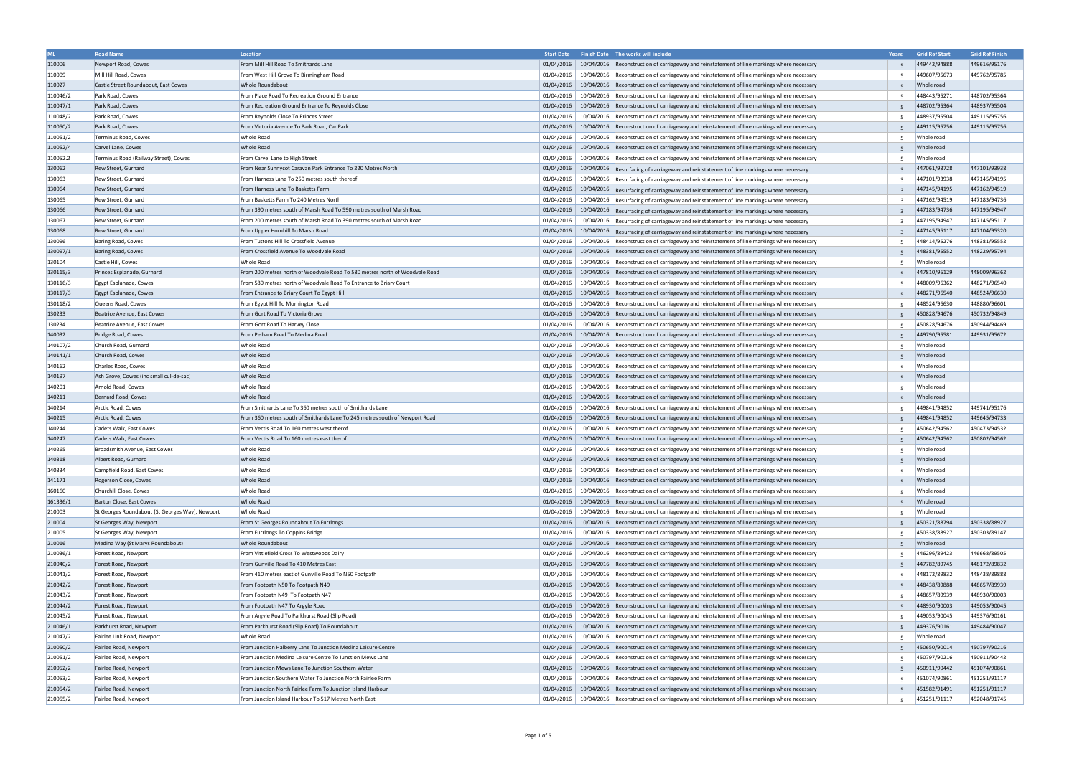|          | <b>Road Name</b>                                | Location                                                                    | <b>Start Date</b> | Finish Date The works will include                                                                         | Years          | <b>Grid Ref Start</b> | <b>Grid Ref Finish</b> |
|----------|-------------------------------------------------|-----------------------------------------------------------------------------|-------------------|------------------------------------------------------------------------------------------------------------|----------------|-----------------------|------------------------|
| 110006   | Newport Road, Cowes                             | From Mill Hill Road To Smithards Lane                                       | 01/04/2016        | 10/04/2016 Reconstruction of carriageway and reinstatement of line markings where necessary                |                | 449442/94888          | 449616/95176           |
| 110009   | Mill Hill Road, Cowes                           | From West Hill Grove To Birmingham Road                                     | 01/04/2016        | 10/04/2016   Reconstruction of carriageway and reinstatement of line markings where necessary              |                | 449607/95673          | 449762/95785           |
| 110027   | Castle Street Roundabout, East Cowes            | Whole Roundabout                                                            |                   | 01/04/2016   10/04/2016   Reconstruction of carriageway and reinstatement of line markings where necessary | -5             | Whole road            |                        |
| 110046/2 | Park Road, Cowes                                | From Place Road To Recreation Ground Entrance                               | 01/04/2016        | 10/04/2016 Reconstruction of carriageway and reinstatement of line markings where necessary                | -5             | 448443/95271          | 448702/95364           |
| 110047/1 | Park Road, Cowes                                | From Recreation Ground Entrance To Reynolds Close                           | 01/04/2016        | 10/04/2016 Reconstruction of carriageway and reinstatement of line markings where necessary                | -5             | 448702/95364          | 448937/95504           |
| 110048/2 | Park Road, Cowes                                | From Reynolds Close To Princes Street                                       | 01/04/2016        | 10/04/2016 Reconstruction of carriageway and reinstatement of line markings where necessary                |                | 448937/95504          | 449115/95756           |
| 110050/2 | Park Road, Cowes                                | From Victoria Avenue To Park Road, Car Park                                 | 01/04/2016        | 10/04/2016 Reconstruction of carriageway and reinstatement of line markings where necessary                |                | 449115/95756          | 449115/95756           |
| 110051/2 | Terminus Road, Cowes                            | <b>Whole Road</b>                                                           | 01/04/2016        | 10/04/2016   Reconstruction of carriageway and reinstatement of line markings where necessary              |                | Whole road            |                        |
| 110052/4 | Carvel Lane, Cowes                              | <b>Whole Road</b>                                                           | 01/04/2016        | 10/04/2016 Reconstruction of carriageway and reinstatement of line markings where necessary                |                | Whole road            |                        |
| 110052.2 | Terminus Road (Railway Street), Cowes           | From Carvel Lane to High Street                                             | 01/04/2016        | 10/04/2016 Reconstruction of carriageway and reinstatement of line markings where necessary                |                | Whole road            |                        |
| 130062   | Rew Street, Gurnard                             | From Near Sunnycot Caravan Park Entrance To 220 Metres North                | 01/04/2016        | 10/04/2016 Resurfacing of carriageway and reinstatement of line markings where necessary                   | $\overline{3}$ | 447061/93728          | 447101/93938           |
| 130063   | Rew Street, Gurnard                             | From Harness Lane To 250 metres south thereof                               | 01/04/2016        | 10/04/2016 Resurfacing of carriageway and reinstatement of line markings where necessary                   |                | 447101/93938          | 447145/94195           |
| 130064   | Rew Street, Gurnard                             | From Harness Lane To Basketts Farm                                          | 01/04/2016        | 10/04/2016 Resurfacing of carriageway and reinstatement of line markings where necessary                   |                | 447145/94195          | 447162/94519           |
| 130065   | Rew Street, Gurnard                             | From Basketts Farm To 240 Metres North                                      | 01/04/2016        | 10/04/2016 Resurfacing of carriageway and reinstatement of line markings where necessary                   | $\mathbf{R}$   | 447162/94519          | 447183/94736           |
| 130066   | Rew Street, Gurnard                             | From 390 metres south of Marsh Road To 590 metres south of Marsh Road       | 01/04/2016        | 10/04/2016 Resurfacing of carriageway and reinstatement of line markings where necessary                   |                | 447183/94736          | 447195/94947           |
| 130067   | Rew Street, Gurnard                             | From 200 metres south of Marsh Road To 390 metres south of Marsh Road       | 01/04/2016        | $10/04/2016$ Resurfacing of carriageway and reinstatement of line markings where necessary                 | $\overline{3}$ | 447195/94947          | 447145/95117           |
| 130068   | Rew Street, Gurnard                             | From Upper Hornhill To Marsh Road                                           | 01/04/2016        | 10/04/2016 Resurfacing of carriageway and reinstatement of line markings where necessary                   | $\overline{3}$ | 447145/95117          | 447104/95320           |
| 130096   | Baring Road, Cowes                              | From Tuttons Hill To Crossfield Avenue                                      | 01/04/2016        | 10/04/2016  Reconstruction of carriageway and reinstatement of line markings where necessary               | -5             | 448414/95276          | 448381/95552           |
| 130097/1 | <b>Baring Road, Cowes</b>                       | From Crossfield Avenue To Woodvale Road                                     | 01/04/2016        | 10/04/2016 Reconstruction of carriageway and reinstatement of line markings where necessary                |                | 448381/95552          | 448229/95794           |
| 130104   | Castle Hill, Cowes                              | Whole Road                                                                  | 01/04/2016        | 10/04/2016 Reconstruction of carriageway and reinstatement of line markings where necessary                |                | Whole road            |                        |
| 130115/3 | Princes Esplanade, Gurnard                      | From 200 metres north of Woodvale Road To 580 metres north of Woodvale Road | 01/04/2016        |                                                                                                            |                | 447810/96129          | 448009/96362           |
|          |                                                 |                                                                             |                   | 10/04/2016 Reconstruction of carriageway and reinstatement of line markings where necessary                |                | 448009/96362          |                        |
| 130116/3 | Egypt Esplanade, Cowes                          | From 580 metres north of Woodvale Road To Entrance to Briary Court          | 01/04/2016        | 10/04/2016   Reconstruction of carriageway and reinstatement of line markings where necessary              | -5             |                       | 448271/96540           |
| 130117/3 | Egypt Esplanade, Cowes                          | From Entrance to Briary Court To Egypt Hill                                 | 01/04/2016        | 10/04/2016 Reconstruction of carriageway and reinstatement of line markings where necessary                |                | 448271/96540          | 448524/96630           |
| 130118/2 | Queens Road, Cowes                              | From Egypt Hill To Mornington Road                                          | 01/04/2016        | 10/04/2016 Reconstruction of carriageway and reinstatement of line markings where necessary                |                | 448524/96630          | 448880/96601           |
| 130233   | Beatrice Avenue, East Cowes                     | From Gort Road To Victoria Grove                                            | 01/04/2016        | 10/04/2016 Reconstruction of carriageway and reinstatement of line markings where necessary                |                | 450828/94676          | 450732/94849           |
| 130234   | Beatrice Avenue, East Cowes                     | From Gort Road To Harvey Close                                              | 01/04/2016        | 10/04/2016   Reconstruction of carriageway and reinstatement of line markings where necessary              |                | 450828/94676          | 450944/94469           |
| 140032   | Bridge Road, Cowes                              | From Pelham Road To Medina Road                                             | 01/04/2016        | 10/04/2016 Reconstruction of carriageway and reinstatement of line markings where necessary                |                | 449790/95581          | 449931/95672           |
| 140107/2 | Church Road, Gurnard                            | Whole Road                                                                  | 01/04/2016        | 10/04/2016 Reconstruction of carriageway and reinstatement of line markings where necessary                | -5             | Whole road            |                        |
| 140141/1 | Church Road, Cowes                              | <b>Whole Road</b>                                                           |                   | 01/04/2016   10/04/2016   Reconstruction of carriageway and reinstatement of line markings where necessary | -5             | Whole road            |                        |
| 140162   | Charles Road, Cowes                             | <b>Whole Road</b>                                                           | 01/04/2016        | 10/04/2016  Reconstruction of carriageway and reinstatement of line markings where necessary               | -5             | Whole road            |                        |
| 140197   | Ash Grove, Cowes (inc small cul-de-sac)         | <b>Whole Road</b>                                                           | 01/04/2016        | 10/04/2016 Reconstruction of carriageway and reinstatement of line markings where necessary                |                | Whole road            |                        |
| 140201   | Arnold Road, Cowes                              | <b>Whole Road</b>                                                           | 01/04/2016        | 10/04/2016 Reconstruction of carriageway and reinstatement of line markings where necessary                |                | Whole road            |                        |
| 140211   | Bernard Road, Cowes                             | <b>Whole Road</b>                                                           | 01/04/2016        | 10/04/2016 Reconstruction of carriageway and reinstatement of line markings where necessary                |                | Whole road            |                        |
| 140214   | Arctic Road, Cowes                              | From Smithards Lane To 360 metres south of Smithards Lane                   | 01/04/2016        | 10/04/2016   Reconstruction of carriageway and reinstatement of line markings where necessary              | -5             | 449841/94852          | 449741/95176           |
| 140215   | Arctic Road, Cowes                              | From 360 metres south of Smithards Lane To 245 metres south of Newport Road |                   | 01/04/2016   10/04/2016   Reconstruction of carriageway and reinstatement of line markings where necessary |                | 449841/94852          | 449645/94733           |
| 140244   | Cadets Walk, East Cowes                         | From Vectis Road To 160 metres west therof                                  | 01/04/2016        | 10/04/2016   Reconstruction of carriageway and reinstatement of line markings where necessary              |                | 450642/94562          | 450473/94532           |
| 140247   | Cadets Walk, East Cowes                         | From Vectis Road To 160 metres east therof                                  | 01/04/2016        | 10/04/2016 Reconstruction of carriageway and reinstatement of line markings where necessary                |                | 450642/94562          | 450802/94562           |
| 140265   | Broadsmith Avenue, East Cowes                   | Whole Road                                                                  | 01/04/2016        | 10/04/2016  Reconstruction of carriageway and reinstatement of line markings where necessary               |                | Whole road            |                        |
| 140318   | Albert Road, Gurnard                            | Whole Road                                                                  |                   | 01/04/2016 10/04/2016 Reconstruction of carriageway and reinstatement of line markings where necessary     | -5             | Whole road            |                        |
| 140334   | Campfield Road, East Cowes                      | <b>Whole Road</b>                                                           | 01/04/2016        | 10/04/2016 Reconstruction of carriageway and reinstatement of line markings where necessary                | -5             | Whole road            |                        |
| 141171   | Rogerson Close, Cowes                           | Whole Road                                                                  |                   | 01/04/2016   10/04/2016   Reconstruction of carriageway and reinstatement of line markings where necessary | -5             | Whole road            |                        |
| 160160   | Churchill Close, Cowes                          | <b>Whole Road</b>                                                           | 01/04/2016        | 10/04/2016  Reconstruction of carriageway and reinstatement of line markings where necessary               | -5             | Whole road            |                        |
| 161336/1 | Barton Close, East Cowes                        | Whole Road                                                                  | 01/04/2016        | 10/04/2016 Reconstruction of carriageway and reinstatement of line markings where necessary                | -5             | Whole road            |                        |
| 210003   | St Georges Roundabout (St Georges Way), Newport | Whole Road                                                                  | 01/04/2016        | 10/04/2016 Reconstruction of carriageway and reinstatement of line markings where necessary                | -5             | Whole road            |                        |
| 210004   | St Georges Way, Newport                         | From St Georges Roundabout To Furrlongs                                     | 01/04/2016        | 10/04/2016 Reconstruction of carriageway and reinstatement of line markings where necessary                |                | 450321/88794          | 450338/88927           |
| 210005   | St Georges Way, Newport                         | From Furrlongs To Coppins Bridge                                            | 01/04/2016        | 10/04/2016 Reconstruction of carriageway and reinstatement of line markings where necessary                |                | 450338/88927          | 450303/89147           |
| 210016   | Medina Way (St Marys Roundabout)                | Whole Roundabout                                                            | 01/04/2016        | 10/04/2016 Reconstruction of carriageway and reinstatement of line markings where necessary                | -5             | Whole road            |                        |
| 210036/1 | Forest Road, Newport                            | From Vittlefield Cross To Westwoods Dairy                                   | 01/04/2016        | 10/04/2016 Reconstruction of carriageway and reinstatement of line markings where necessary                | -5             | 446296/89423          | 446668/89505           |
| 210040/2 | Forest Road, Newport                            | From Gunville Road To 410 Metres East                                       | 01/04/2016        | 10/04/2016 Reconstruction of carriageway and reinstatement of line markings where necessary                |                | 447782/89745          | 448172/89832           |
| 210041/2 | Forest Road, Newport                            | From 410 metres east of Gunville Road To N50 Footpath                       | 01/04/2016        | 10/04/2016 Reconstruction of carriageway and reinstatement of line markings where necessary                |                | 448172/89832          | 448438/89888           |
| 210042/2 | Forest Road, Newport                            | From Footpath N50 To Footpath N49                                           | 01/04/2016        | 10/04/2016 Reconstruction of carriageway and reinstatement of line markings where necessary                |                | 448438/89888          | 448657/89939           |
| 210043/2 | Forest Road, Newport                            | From Footpath N49 To Footpath N47                                           | 01/04/2016        | 10/04/2016   Reconstruction of carriageway and reinstatement of line markings where necessary              | -5             | 448657/89939          | 448930/90003           |
| 210044/2 | Forest Road, Newport                            | From Footpath N47 To Argyle Road                                            | 01/04/2016        | 10/04/2016 Reconstruction of carriageway and reinstatement of line markings where necessary                |                | 448930/90003          | 449053/90045           |
| 210045/2 | Forest Road, Newport                            | From Argyle Road To Parkhurst Road (Slip Road)                              | 01/04/2016        | 10/04/2016   Reconstruction of carriageway and reinstatement of line markings where necessary              | -5             | 449053/90045          | 449376/90161           |
| 210046/1 | Parkhurst Road, Newport                         | From Parkhurst Road (Slip Road) To Roundabout                               | 01/04/2016        | 10/04/2016 Reconstruction of carriageway and reinstatement of line markings where necessary                | -5             | 449376/90161          | 449484/90047           |
| 210047/2 | Fairlee Link Road, Newport                      | <b>Whole Road</b>                                                           | 01/04/2016        | 10/04/2016 Reconstruction of carriageway and reinstatement of line markings where necessary                | -5             | Whole road            |                        |
| 210050/2 | Fairlee Road, Newport                           | From Junction Halberry Lane To Junction Medina Leisure Centre               | 01/04/2016        | 10/04/2016 Reconstruction of carriageway and reinstatement of line markings where necessary                |                | 450650/90014          | 450797/90216           |
| 210051/2 | Fairlee Road, Newport                           | From Junction Medina Leisure Centre To Junction Mews Lane                   | 01/04/2016        | 10/04/2016 Reconstruction of carriageway and reinstatement of line markings where necessary                | -5             | 450797/90216          | 450911/90442           |
| 210052/2 | Fairlee Road, Newport                           | From Junction Mews Lane To Junction Southern Water                          | 01/04/2016        | 10/04/2016 Reconstruction of carriageway and reinstatement of line markings where necessary                |                | 450911/90442          | 451074/90861           |
| 210053/2 | Fairlee Road, Newport                           | From Junction Southern Water To Junction North Fairlee Farm                 | 01/04/2016        | 10/04/2016 Reconstruction of carriageway and reinstatement of line markings where necessary                | -5             | 451074/90861          | 451251/91117           |
| 210054/2 | Fairlee Road, Newport                           | From Junction North Fairlee Farm To Junction Island Harbour                 |                   | 01/04/2016   10/04/2016   Reconstruction of carriageway and reinstatement of line markings where necessary | 5 <sub>1</sub> | 451582/91491          | 451251/91117           |
| 210055/2 | Fairlee Road, Newport                           | From Junction Island Harbour To 517 Metres North East                       |                   | 01/04/2016   10/04/2016   Reconstruction of carriageway and reinstatement of line markings where necessary | -5             | 451251/91117          | 452048/91745           |
|          |                                                 |                                                                             |                   |                                                                                                            |                |                       |                        |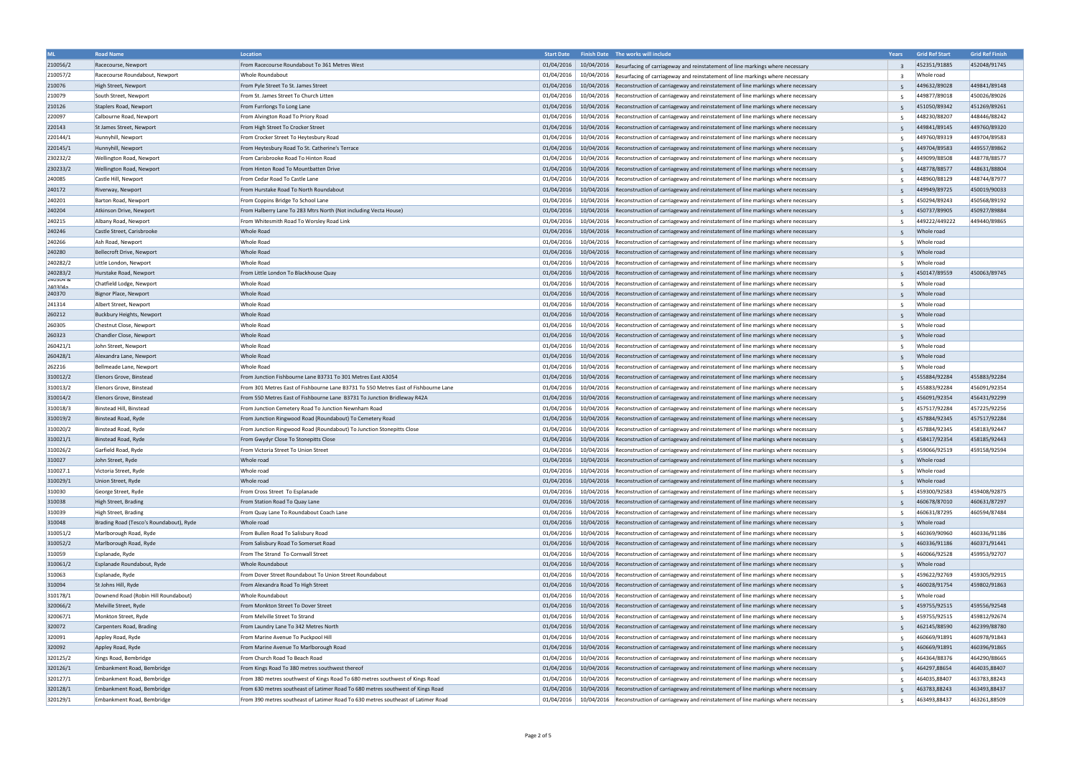| <b>ML</b>            | <b>Road Name</b>                        | Location                                                                            | <b>Start Date</b> |            | Finish Date The works will include                                                            | Years          | <b>Grid Ref Start</b> | <b>Grid Ref Finish</b> |
|----------------------|-----------------------------------------|-------------------------------------------------------------------------------------|-------------------|------------|-----------------------------------------------------------------------------------------------|----------------|-----------------------|------------------------|
| 210056/2             | Racecourse, Newport                     | From Racecourse Roundabout To 361 Metres West                                       | 01/04/2016        |            | 10/04/2016 Resurfacing of carriageway and reinstatement of line markings where necessary      | $\overline{3}$ | 452351/91885          | 452048/91745           |
| 210057/2             | Racecourse Roundabout, Newport          | Whole Roundabout                                                                    | 01/04/2016        |            | 10/04/2016 Resurfacing of carriageway and reinstatement of line markings where necessary      | $\overline{3}$ | Whole road            |                        |
| 210076               | High Street, Newport                    | From Pyle Street To St. James Street                                                | 01/04/2016        |            | 10/04/2016 Reconstruction of carriageway and reinstatement of line markings where necessary   |                | 449632/89028          | 449841/89148           |
| 210079               | South Street, Newport                   | From St. James Street To Church Litten                                              | 01/04/2016        |            | 10/04/2016 Reconstruction of carriageway and reinstatement of line markings where necessary   | 5              | 449877/89018          | 450026/89026           |
| 210126               | Staplers Road, Newport                  | From Furrlongs To Long Lane                                                         | 01/04/2016        |            | 10/04/2016 Reconstruction of carriageway and reinstatement of line markings where necessary   | -5             | 451050/89342          | 451269/89261           |
| 220097               | Calbourne Road, Newport                 | From Alvington Road To Priory Road                                                  | 01/04/2016        |            | 10/04/2016 Reconstruction of carriageway and reinstatement of line markings where necessary   | -5             | 448230/88207          | 448446/88242           |
| 220143               | St James Street, Newport                | From High Street To Crocker Street                                                  | 01/04/2016        |            | 10/04/2016   Reconstruction of carriageway and reinstatement of line markings where necessary |                | 449841/89145          | 449760/89320           |
| 220144/1             | Hunnyhill, Newport                      | From Crocker Street To Heytesbury Road                                              | 01/04/2016        |            | 10/04/2016   Reconstruction of carriageway and reinstatement of line markings where necessary | -5             | 449760/89319          | 449704/89583           |
| 220145/1             | Hunnyhill, Newport                      | From Heytesbury Road To St. Catherine's Terrace                                     | 01/04/2016        |            | 10/04/2016 Reconstruction of carriageway and reinstatement of line markings where necessary   |                | 449704/89583          | 449557/89862           |
| 230232/2             | Wellington Road, Newport                | From Carisbrooke Road To Hinton Road                                                | 01/04/2016        |            | 10/04/2016 Reconstruction of carriageway and reinstatement of line markings where necessary   | -5             | 449099/88508          | 448778/88577           |
| 230233/2             | Wellington Road, Newport                | From Hinton Road To Mountbatten Drive                                               | 01/04/2016        |            | 10/04/2016 Reconstruction of carriageway and reinstatement of line markings where necessary   |                | 448778/88577          | 448631/88804           |
| 240085               | Castle Hill, Newport                    | From Cedar Road To Castle Lane                                                      | 01/04/2016        |            | 10/04/2016   Reconstruction of carriageway and reinstatement of line markings where necessary | -5             | 448960/88129          | 448744/87977           |
| 240172               | Riverway, Newport                       | From Hurstake Road To North Roundabout                                              | 01/04/2016        |            | 10/04/2016 Reconstruction of carriageway and reinstatement of line markings where necessary   |                | 449949/89725          | 450019/90033           |
| 240201               | Barton Road, Newport                    | From Coppins Bridge To School Lane                                                  | 01/04/2016        |            | 10/04/2016   Reconstruction of carriageway and reinstatement of line markings where necessary |                | 450294/89243          | 450568/89192           |
| 240204               | Atkinson Drive, Newport                 | From Halberry Lane To 283 Mtrs North (Not including Vecta House)                    | 01/04/2016        |            | 10/04/2016 Reconstruction of carriageway and reinstatement of line markings where necessary   |                | 450737/89905          | 450927/89884           |
| 240215               | Albany Road, Newport                    | From Whitesmith Road To Worsley Road Link                                           | 01/04/2016        | 10/04/2016 | Reconstruction of carriageway and reinstatement of line markings where necessary              | -5             | 449222/449222         | 449440/89865           |
| 240246               | Castle Street, Carisbrooke              | Whole Road                                                                          | 01/04/2016        |            | 10/04/2016 Reconstruction of carriageway and reinstatement of line markings where necessary   |                | Whole road            |                        |
| 240266               | Ash Road, Newport                       | Whole Road                                                                          | 01/04/2016        |            | 10/04/2016 Reconstruction of carriageway and reinstatement of line markings where necessary   |                | Whole road            |                        |
| 240280               |                                         | Whole Road                                                                          | 01/04/2016        |            |                                                                                               |                | Whole road            |                        |
|                      | Bellecroft Drive, Newport               |                                                                                     |                   |            | 10/04/2016 Reconstruction of carriageway and reinstatement of line markings where necessary   |                |                       |                        |
| 240282/2<br>240283/2 | Little London, Newport                  | Whole Road                                                                          | 01/04/2016        |            | 10/04/2016 Reconstruction of carriageway and reinstatement of line markings where necessary   | -5             | Whole road            |                        |
| 240304 &             | Hurstake Road, Newport                  | From Little London To Blackhouse Quay                                               | 01/04/2016        |            | 10/04/2016 Reconstruction of carriageway and reinstatement of line markings where necessary   |                | 450147/89559          | 450063/89745           |
| 240304a              | Chatfield Lodge, Newport                | Whole Road                                                                          | 01/04/2016        |            | 10/04/2016   Reconstruction of carriageway and reinstatement of line markings where necessary | -5             | Whole road            |                        |
| 240370               | Bignor Place, Newport                   | Whole Road                                                                          | 01/04/2016        |            | 10/04/2016 Reconstruction of carriageway and reinstatement of line markings where necessary   | -5             | Whole road            |                        |
| 241314               | Albert Street, Newport                  | Whole Road                                                                          | 01/04/2016        |            | 10/04/2016 Reconstruction of carriageway and reinstatement of line markings where necessary   | -5             | Whole road            |                        |
| 260212               | Buckbury Heights, Newport               | Whole Road                                                                          | 01/04/2016        |            | 10/04/2016 Reconstruction of carriageway and reinstatement of line markings where necessary   |                | Whole road            |                        |
| 260305               | Chestnut Close, Newport                 | Whole Road                                                                          | 01/04/2016        |            | 10/04/2016   Reconstruction of carriageway and reinstatement of line markings where necessary |                | Whole road            |                        |
| 260323               | Chandler Close, Newport                 | Whole Road                                                                          | 01/04/2016        |            | 10/04/2016   Reconstruction of carriageway and reinstatement of line markings where necessary | -5             | Whole road            |                        |
| 260421/1             | John Street, Newport                    | Whole Road                                                                          | 01/04/2016        |            | 10/04/2016   Reconstruction of carriageway and reinstatement of line markings where necessary | -5             | Whole road            |                        |
| 260428/1             | Alexandra Lane, Newport                 | Whole Road                                                                          | 01/04/2016        |            | 10/04/2016 Reconstruction of carriageway and reinstatement of line markings where necessary   |                | Whole road            |                        |
| 262216               | Bellmeade Lane, Newport                 | Whole Road                                                                          | 01/04/2016        |            | 10/04/2016   Reconstruction of carriageway and reinstatement of line markings where necessary | -5             | Whole road            |                        |
| 310012/2             | Elenors Grove, Binstead                 | From Junction Fishbourne Lane B3731 To 301 Metres East A3054                        | 01/04/2016        |            | 10/04/2016 Reconstruction of carriageway and reinstatement of line markings where necessary   |                | 455884/92284          | 455883/92284           |
| 310013/2             | Elenors Grove, Binstead                 | From 301 Metres East of Fishbourne Lane B3731 To 550 Metres East of Fishbourne Lane | 01/04/2016        |            | 10/04/2016  Reconstruction of carriageway and reinstatement of line markings where necessary  |                | 455883/92284          | 456091/92354           |
| 310014/2             | Elenors Grove, Binstead                 | From 550 Metres East of Fishbourne Lane B3731 To Junction Bridleway R42A            | 01/04/2016        |            | 10/04/2016   Reconstruction of carriageway and reinstatement of line markings where necessary |                | 456091/92354          | 456431/92299           |
| 310018/3             | Binstead Hill, Binstead                 | From Junction Cemetery Road To Junction Newnham Road                                | 01/04/2016        |            | 10/04/2016   Reconstruction of carriageway and reinstatement of line markings where necessary | -5             | 457517/92284          | 457225/92256           |
| 310019/2             | Binstead Road, Ryde                     | From Junction Ringwood Road (Roundabout) To Cemetery Road                           | 01/04/2016        |            | 10/04/2016 Reconstruction of carriageway and reinstatement of line markings where necessary   |                | 457884/92345          | 457517/92284           |
| 310020/2             | Binstead Road, Ryde                     | From Junction Ringwood Road (Roundabout) To Junction Stonepitts Close               | 01/04/2016        |            | 10/04/2016   Reconstruction of carriageway and reinstatement of line markings where necessary |                | 457884/92345          | 458183/92447           |
| 310021/1             | Binstead Road, Ryde                     | From Gwydyr Close To Stonepitts Close                                               | 01/04/2016        |            | 10/04/2016 Reconstruction of carriageway and reinstatement of line markings where necessary   |                | 458417/92354          | 458185/92443           |
| 310026/2             | Garfield Road, Ryde                     | From Victoria Street To Union Street                                                | 01/04/2016        |            | 10/04/2016 Reconstruction of carriageway and reinstatement of line markings where necessary   |                | 459066/92519          | 459158/92594           |
| 310027               | John Street, Ryde                       | Whole road                                                                          | 01/04/2016        |            | 10/04/2016 Reconstruction of carriageway and reinstatement of line markings where necessary   |                | Whole road            |                        |
| 310027.1             | Victoria Street, Ryde                   | Whole road                                                                          | 01/04/2016        |            | 10/04/2016   Reconstruction of carriageway and reinstatement of line markings where necessary |                | Whole road            |                        |
| 310029/1             | Union Street, Ryde                      | Whole road                                                                          | 01/04/2016        |            | 10/04/2016 Reconstruction of carriageway and reinstatement of line markings where necessary   |                | Whole road            |                        |
| 310030               | George Street, Ryde                     | From Cross Street To Esplanade                                                      | 01/04/2016        |            | 10/04/2016 Reconstruction of carriageway and reinstatement of line markings where necessary   | -5             | 459300/92583          | 459408/92875           |
| 310038               | High Street, Brading                    | From Station Road To Quay Lane                                                      | 01/04/2016        |            | 10/04/2016 Reconstruction of carriageway and reinstatement of line markings where necessary   |                | 460678/87010          | 460631/87297           |
| 310039               | High Street, Brading                    | From Quay Lane To Roundabout Coach Lane                                             | 01/04/2016        |            | 10/04/2016 Reconstruction of carriageway and reinstatement of line markings where necessary   | -5             | 460631/87295          | 460594/87484           |
| 310048               | Brading Road (Tesco's Roundabout), Ryde | Whole road                                                                          | 01/04/2016        |            | 10/04/2016 Reconstruction of carriageway and reinstatement of line markings where necessary   | -5             | Whole road            |                        |
| 310051/2             | Marlborough Road, Ryde                  | From Bullen Road To Salisbury Road                                                  | 01/04/2016        |            | 10/04/2016 Reconstruction of carriageway and reinstatement of line markings where necessary   | -5             | 460369/90960          | 460336/91186           |
| 310052/2             | Marlborough Road, Ryde                  | From Salisbury Road To Somerset Road                                                | 01/04/2016        |            | 10/04/2016 Reconstruction of carriageway and reinstatement of line markings where necessary   |                | 460336/91186          | 460371/91441           |
| 310059               | Esplanade, Ryde                         | From The Strand To Cornwall Street                                                  | 01/04/2016        |            | 10/04/2016   Reconstruction of carriageway and reinstatement of line markings where necessary | 5              | 460066/92528          | 459953/92707           |
| 310061/2             | Esplanade Roundabout, Ryde              | Whole Roundabout                                                                    | 01/04/2016        |            | 10/04/2016 Reconstruction of carriageway and reinstatement of line markings where necessary   | .5             | Whole road            |                        |
| 310063               | Esplanade, Ryde                         | From Dover Street Roundabout To Union Street Roundabout                             | 01/04/2016        |            | 10/04/2016 Reconstruction of carriageway and reinstatement of line markings where necessary   | -5             | 459622/92769          | 459305/92915           |
| 310094               | St Johns Hill, Ryde                     | From Alexandra Road To High Street                                                  | 01/04/2016        |            | 10/04/2016 Reconstruction of carriageway and reinstatement of line markings where necessary   |                | 460028/91754          | 459802/91863           |
| 310178/1             | Downend Road (Robin Hill Roundabout)    | Whole Roundabout                                                                    | 01/04/2016        |            | 10/04/2016 Reconstruction of carriageway and reinstatement of line markings where necessary   | 5              | Whole road            |                        |
| 320066/2             | Melville Street, Ryde                   | From Monkton Street To Dover Street                                                 | 01/04/2016        |            | 10/04/2016 Reconstruction of carriageway and reinstatement of line markings where necessary   |                | 459755/92515          | 459556/92548           |
| 320067/1             | Monkton Street, Ryde                    | From Melville Street To Strand                                                      | 01/04/2016        |            | 10/04/2016  Reconstruction of carriageway and reinstatement of line markings where necessary  | 5              | 459755/92515          | 459812/92674           |
| 320072               | Carpenters Road, Brading                | From Laundry Lane To 342 Metres North                                               | 01/04/2016        |            | 10/04/2016   Reconstruction of carriageway and reinstatement of line markings where necessary |                | 462145/88590          | 462399/88780           |
| 320091               | Appley Road, Ryde                       | From Marine Avenue To Puckpool Hill                                                 | 01/04/2016        |            | 10/04/2016 Reconstruction of carriageway and reinstatement of line markings where necessary   | -5             | 460669/91891          | 460978/91843           |
| 320092               | Appley Road, Ryde                       | From Marine Avenue To Marlborough Road                                              | 01/04/2016        |            | 10/04/2016 Reconstruction of carriageway and reinstatement of line markings where necessary   |                | 460669/91891          | 460396/91865           |
| 320125/2             | Kings Road, Bembridge                   | From Church Road To Beach Road                                                      | 01/04/2016        |            | 10/04/2016 Reconstruction of carriageway and reinstatement of line markings where necessary   |                | 464364/88376          | 464290/88665           |
| 320126/1             | Embankment Road, Bembridge              | From Kings Road To 380 metres southwest thereof                                     | 01/04/2016        |            | 10/04/2016 Reconstruction of carriageway and reinstatement of line markings where necessary   |                | 464297,88654          | 464035,88407           |
| 320127/1             | Embankment Road, Bembridge              | From 380 metres southwest of Kings Road To 680 metres southwest of Kings Road       | 01/04/2016        |            | 10/04/2016 Reconstruction of carriageway and reinstatement of line markings where necessary   | 5              | 464035,88407          | 463783,88243           |
| 320128/1             | Embankment Road, Bembridge              | From 630 metres southeast of Latimer Road To 680 metres southwest of Kings Road     | 01/04/2016        |            | 10/04/2016 Reconstruction of carriageway and reinstatement of line markings where necessary   |                | 463783,88243          | 463493,88437           |
| 320129/1             | Embankment Road, Bembridge              | From 390 metres southeast of Latimer Road To 630 metres southeast of Latimer Road   | 01/04/2016        |            | 10/04/2016 Reconstruction of carriageway and reinstatement of line markings where necessary   | -5             | 463493,88437          | 463261,88509           |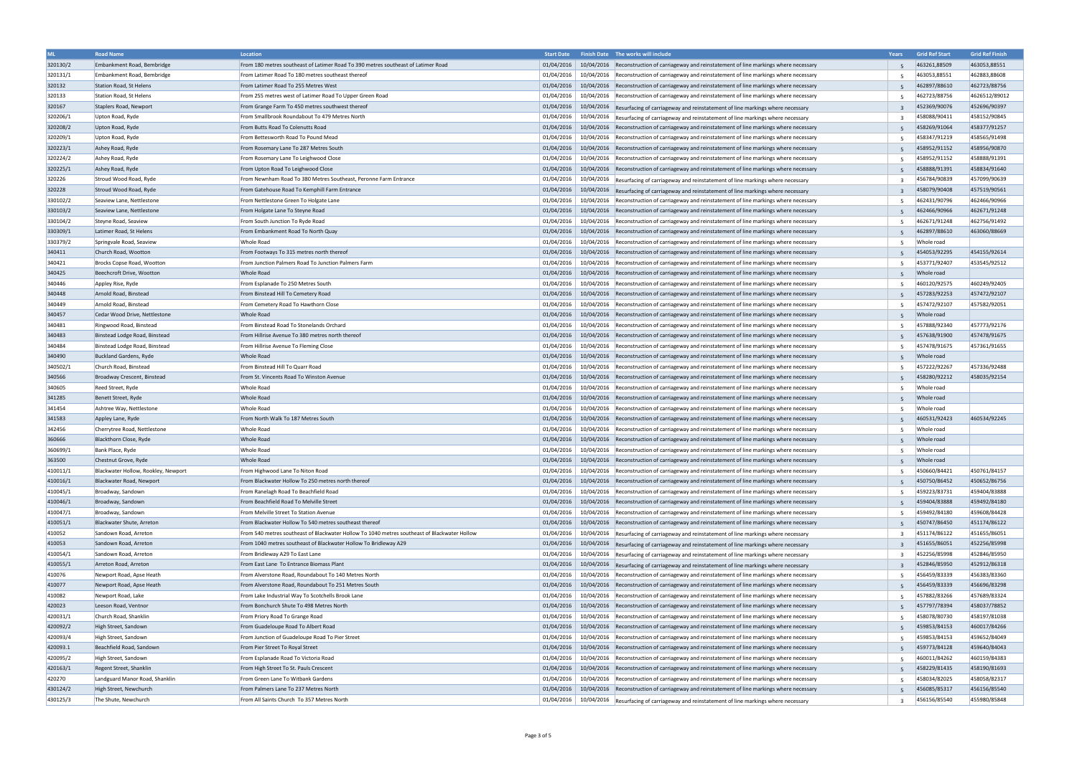| <b>ML</b>        | <b>Road Name</b>                    | Location                                                                                     | <b>Start Date</b>        | Finish Date The works will include                                                                                                                                                                    | Years          | <b>Grid Ref Start</b>      | <b>Grid Ref Finish</b> |
|------------------|-------------------------------------|----------------------------------------------------------------------------------------------|--------------------------|-------------------------------------------------------------------------------------------------------------------------------------------------------------------------------------------------------|----------------|----------------------------|------------------------|
| 320130/2         | Embankment Road, Bembridge          | From 180 metres southeast of Latimer Road To 390 metres southeast of Latimer Road            | 01/04/2016               | 10/04/2016 Reconstruction of carriageway and reinstatement of line markings where necessary                                                                                                           | -5             | 463261,88509               | 463053,88551           |
| 320131/1         | Embankment Road, Bembridge          | From Latimer Road To 180 metres southeast thereof                                            | 01/04/2016               | 10/04/2016  Reconstruction of carriageway and reinstatement of line markings where necessary                                                                                                          | -5             | 463053,88551               | 462883,88608           |
| 320132           | Station Road, St Helens             | From Latimer Road To 255 Metres West                                                         |                          | 01/04/2016   10/04/2016   Reconstruction of carriageway and reinstatement of line markings where necessary                                                                                            |                | 462897/88610               | 462723/88756           |
| 320133           | Station Road, St Helens             | From 255 metres west of Latimer Road To Upper Green Road                                     |                          | $01/04/2016$   $10/04/2016$  Reconstruction of carriageway and reinstatement of line markings where necessary                                                                                         |                | 462723/88756               | 4626512/89012          |
| 320167           | Staplers Road, Newport              | From Grange Farm To 450 metres southwest thereof                                             |                          | 01/04/2016 10/04/2016 Resurfacing of carriageway and reinstatement of line markings where necessary                                                                                                   | $\overline{3}$ | 452369/90076               | 452696/90397           |
| 320206/1         | Upton Road, Ryde                    | From Smallbrook Roundabout To 479 Metres North                                               | 01/04/2016               | 10/04/2016 Resurfacing of carriageway and reinstatement of line markings where necessary                                                                                                              | $\mathbf{3}$   | 458088/90411               | 458152/90845           |
| 320208/2         | Upton Road, Ryde                    | From Butts Road To Colenutts Road                                                            | 01/04/2016               | 10/04/2016 Reconstruction of carriageway and reinstatement of line markings where necessary                                                                                                           |                | 458269/91064               | 458377/91257           |
| 320209/1         | Upton Road, Ryde                    | From Bettesworth Road To Pound Mead                                                          | 01/04/2016               | 10/04/2016   Reconstruction of carriageway and reinstatement of line markings where necessary                                                                                                         | -5             | 458347/91219               | 458565/91498           |
| 320223/1         | Ashey Road, Ryde                    | From Rosemary Lane To 287 Metres South                                                       | 01/04/2016               | 10/04/2016 Reconstruction of carriageway and reinstatement of line markings where necessary                                                                                                           |                | 458952/91152               | 458956/90870           |
| 320224/2         | Ashey Road, Ryde                    | From Rosemary Lane To Leighwood Close                                                        | 01/04/2016               | 10/04/2016 Reconstruction of carriageway and reinstatement of line markings where necessary                                                                                                           | -5             | 458952/91152               | 458888/91391           |
| 320225/1         | Ashey Road, Ryde                    | From Upton Road To Leighwood Close                                                           | 01/04/2016               | 10/04/2016   Reconstruction of carriageway and reinstatement of line markings where necessary                                                                                                         |                | 458888/91391               | 458834/91640           |
| 320226           | Stroud Wood Road, Ryde              | From Newnham Road To 380 Metres Southeast, Peronne Farm Entrance                             | 01/04/2016               | 10/04/2016 Resurfacing of carriageway and reinstatement of line markings where necessary                                                                                                              | ्र             | 456784/90839               | 457099/90639           |
| 320228           | Stroud Wood Road, Ryde              | From Gatehouse Road To Kemphill Farm Entrance                                                | 01/04/2016               | 10/04/2016 Resurfacing of carriageway and reinstatement of line markings where necessary                                                                                                              |                | 458079/90408               | 457519/90561           |
| 330102/2         | Seaview Lane, Nettlestone           | From Nettlestone Green To Holgate Lane                                                       | 01/04/2016               | 10/04/2016   Reconstruction of carriageway and reinstatement of line markings where necessary                                                                                                         | -5             | 462431/90796               | 462466/90966           |
| 330103/2         | Seaview Lane, Nettlestone           | From Holgate Lane To Steyne Road                                                             | 01/04/2016               | 10/04/2016   Reconstruction of carriageway and reinstatement of line markings where necessary                                                                                                         |                | 462466/90966               | 462671/91248           |
| 330104/2         | Steyne Road, Seaview                | From South Junction To Ryde Road                                                             | 01/04/2016               | 10/04/2016 Reconstruction of carriageway and reinstatement of line markings where necessary                                                                                                           | -5             | 462671/91248               | 462756/91492           |
| 330309/1         | Latimer Road, St Helens             | From Embankment Road To North Quay                                                           | 01/04/2016               | 10/04/2016 Reconstruction of carriageway and reinstatement of line markings where necessary                                                                                                           | -5             | 462897/88610               | 463060/88669           |
| 330379/2         | Springvale Road, Seaview            | Whole Road                                                                                   | 01/04/2016               | 10/04/2016 Reconstruction of carriageway and reinstatement of line markings where necessary                                                                                                           |                | Whole road                 |                        |
| 340411           | Church Road, Wootton                | From Footways To 315 metres north thereof                                                    | 01/04/2016               | 10/04/2016 Reconstruction of carriageway and reinstatement of line markings where necessary                                                                                                           | -5             | 454053/92295               | 454155/92614           |
| 340421           | Brocks Copse Road, Wootton          | From Junction Palmers Road To Junction Palmers Farm                                          | 01/04/2016               | 10/04/2016 Reconstruction of carriageway and reinstatement of line markings where necessary                                                                                                           |                | 453771/92407               | 453545/92512           |
| 340425           | Beechcroft Drive, Wootton           | Whole Road                                                                                   | 01/04/2016               |                                                                                                                                                                                                       |                | Whole road                 |                        |
| 340446           |                                     | From Esplanade To 250 Metres South                                                           | 01/04/2016               | 10/04/2016 Reconstruction of carriageway and reinstatement of line markings where necessary                                                                                                           |                | 460120/92575               | 460249/92405           |
| 340448           | Appley Rise, Ryde                   | From Binstead Hill To Cemetery Road                                                          | 01/04/2016               | 10/04/2016 Reconstruction of carriageway and reinstatement of line markings where necessary                                                                                                           | 5              | 457283/92253               |                        |
|                  | Arnold Road, Binstead               |                                                                                              |                          | 10/04/2016 Reconstruction of carriageway and reinstatement of line markings where necessary                                                                                                           |                | 457472/92107               | 457472/92107           |
| 340449           | Arnold Road, Binstead               | From Cemetery Road To Hawthorn Close                                                         | 01/04/2016               | 10/04/2016 Reconstruction of carriageway and reinstatement of line markings where necessary                                                                                                           |                |                            | 457582/92051           |
| 340457           | Cedar Wood Drive, Nettlestone       | Whole Road                                                                                   | 01/04/2016               | 10/04/2016 Reconstruction of carriageway and reinstatement of line markings where necessary                                                                                                           |                | Whole road                 |                        |
| 340481           | Ringwood Road, Binstead             | From Binstead Road To Stonelands Orchard                                                     | 01/04/2016               | 10/04/2016 Reconstruction of carriageway and reinstatement of line markings where necessary                                                                                                           | -5             | 457888/92340               | 457773/92176           |
| 340483           | Binstead Lodge Road, Binstead       | From Hillrise Avenue To 380 metres north thereof                                             | 01/04/2016               | 10/04/2016   Reconstruction of carriageway and reinstatement of line markings where necessary                                                                                                         |                | 457638/91900               | 457478/91675           |
| 340484           | Binstead Lodge Road, Binstead       | From Hillrise Avenue To Fleming Close                                                        | 01/04/2016               | 10/04/2016   Reconstruction of carriageway and reinstatement of line markings where necessary                                                                                                         | 5              | 457478/91675               | 457361/91655           |
| 340490           | Buckland Gardens, Ryde              | Whole Road                                                                                   | 01/04/2016               | 10/04/2016 Reconstruction of carriageway and reinstatement of line markings where necessary                                                                                                           | 5              | Whole road                 |                        |
| 340502/1         | Church Road, Binstead               | From Binstead Hill To Quarr Road                                                             | 01/04/2016               | 10/04/2016 Reconstruction of carriageway and reinstatement of line markings where necessary                                                                                                           | -5             | 457222/92267               | 457336/92488           |
| 340566           | Broadway Crescent, Binstead         | From St. Vincents Road To Winston Avenue                                                     | 01/04/2016               | 10/04/2016 Reconstruction of carriageway and reinstatement of line markings where necessary                                                                                                           |                | 458280/92212               | 458035/92154           |
| 340605           | Reed Street, Ryde                   | <b>Whole Road</b>                                                                            | 01/04/2016               | 10/04/2016 Reconstruction of carriageway and reinstatement of line markings where necessary                                                                                                           |                | Whole road                 |                        |
| 341285           | Benett Street, Ryde                 | Whole Road                                                                                   | 01/04/2016               | 10/04/2016 Reconstruction of carriageway and reinstatement of line markings where necessary                                                                                                           |                | Whole road                 |                        |
| 341454           | Ashtree Way, Nettlestone            | <b>Whole Road</b>                                                                            | 01/04/2016               | 10/04/2016 Reconstruction of carriageway and reinstatement of line markings where necessary                                                                                                           | -5             | Whole road                 |                        |
| 341583           | Appley Lane, Ryde                   | From North Walk To 187 Metres South                                                          | 01/04/2016               | 10/04/2016 Reconstruction of carriageway and reinstatement of line markings where necessary                                                                                                           |                | 460531/92423               | 460534/92245           |
| 342456<br>360666 | Cherrytree Road, Nettlestone        | <b>Whole Road</b>                                                                            | 01/04/2016               | 10/04/2016 Reconstruction of carriageway and reinstatement of line markings where necessary                                                                                                           |                | Whole road                 |                        |
| 360699/1         | Blackthorn Close, Ryde              | <b>Whole Road</b><br><b>Whole Road</b>                                                       | 01/04/2016<br>01/04/2016 | 10/04/2016   Reconstruction of carriageway and reinstatement of line markings where necessary                                                                                                         |                | Whole road                 |                        |
|                  | Bank Place, Ryde                    |                                                                                              |                          | 10/04/2016 Reconstruction of carriageway and reinstatement of line markings where necessary                                                                                                           |                | Whole road                 |                        |
| 363500           | Chestnut Grove, Ryde                | Whole Road<br>From Highwood Lane To Niton Road                                               |                          | 01/04/2016 10/04/2016 Reconstruction of carriageway and reinstatement of line markings where necessary<br>10/04/2016 Reconstruction of carriageway and reinstatement of line markings where necessary |                | Whole road<br>450660/84421 |                        |
| 410011/1         | Blackwater Hollow, Rookley, Newport |                                                                                              | 01/04/2016               |                                                                                                                                                                                                       |                |                            | 450761/84157           |
| 410016/1         | Blackwater Road, Newport            | From Blackwater Hollow To 250 metres north thereof                                           |                          | 01/04/2016 10/04/2016 Reconstruction of carriageway and reinstatement of line markings where necessary                                                                                                |                | 450750/86452               | 450652/86756           |
| 410045/1         | Broadway, Sandown                   | From Ranelagh Road To Beachfield Road                                                        | 01/04/2016               | 10/04/2016 Reconstruction of carriageway and reinstatement of line markings where necessary                                                                                                           | -5             | 459223/83731               | 459404/83888           |
| 410046/1         | Broadway, Sandown                   | From Beachfield Road To Melville Street                                                      | 01/04/2016               | 10/04/2016 Reconstruction of carriageway and reinstatement of line markings where necessary                                                                                                           |                | 459404/83888               | 459492/84180           |
| 410047/1         | Broadway, Sandown                   | From Melville Street To Station Avenue                                                       | 01/04/2016               | 10/04/2016 Reconstruction of carriageway and reinstatement of line markings where necessary                                                                                                           |                | 459492/84180               | 459608/84428           |
| 410051/1         | Blackwater Shute, Arreton           | From Blackwater Hollow To 540 metres southeast thereof                                       | 01/04/2016               | 10/04/2016 Reconstruction of carriageway and reinstatement of line markings where necessary                                                                                                           |                | 450747/86450               | 451174/86122           |
| 410052           | Sandown Road, Arreton               | From 540 metres southeast of Blackwater Hollow To 1040 metres southeast of Blackwater Hollow | 01/04/2016               | 10/04/2016 Resurfacing of carriageway and reinstatement of line markings where necessary                                                                                                              | $\mathbf{3}$   | 451174/86122               | 451655/86051           |
| 410053           | Sandown Road, Arreton               | From 1040 metres southeast of Blackwater Hollow To Bridleway A29                             | 01/04/2016               | 10/04/2016 Resurfacing of carriageway and reinstatement of line markings where necessary                                                                                                              |                | 451655/86051               | 452256/85998           |
| 410054/1         | Sandown Road, Arreton               | From Bridleway A29 To East Lane                                                              | 01/04/2016               | 10/04/2016 Resurfacing of carriageway and reinstatement of line markings where necessary                                                                                                              |                | 452256/85998               | 452846/85950           |
| 410055/1         | Arreton Road, Arreton               | From East Lane To Entrance Biomass Plant                                                     | 01/04/2016               | 10/04/2016 Resurfacing of carriageway and reinstatement of line markings where necessary                                                                                                              | $\mathbf{R}$   | 452846/85950               | 452912/86318           |
| 410076           | Newport Road, Apse Heath            | From Alverstone Road, Roundabout To 140 Metres North                                         | 01/04/2016               | 10/04/2016   Reconstruction of carriageway and reinstatement of line markings where necessary                                                                                                         | -5             | 456459/83339               | 456383/83360           |
| 410077           | Newport Road, Apse Heath            | From Alverstone Road, Roundabout To 251 Metres South                                         | 01/04/2016               | 10/04/2016 Reconstruction of carriageway and reinstatement of line markings where necessary                                                                                                           |                | 456459/83339               | 456696/83298           |
| 410082           | Newport Road, Lake                  | From Lake Industrial Way To Scotchells Brook Lane                                            | 01/04/2016               | 10/04/2016 Reconstruction of carriageway and reinstatement of line markings where necessary                                                                                                           |                | 457882/83266               | 457689/83324           |
| 420023           | Leeson Road, Ventnor                | From Bonchurch Shute To 498 Metres North                                                     | 01/04/2016               | 10/04/2016 Reconstruction of carriageway and reinstatement of line markings where necessary                                                                                                           | 5              | 457797/78394               | 458037/78852           |
| 420031/1         | Church Road, Shanklin               | From Priory Road To Grange Road                                                              | 01/04/2016               | 10/04/2016   Reconstruction of carriageway and reinstatement of line markings where necessary                                                                                                         | -5             | 458078/80730               | 458197/81038           |
| 420092/2         | High Street, Sandown                | From Guadeloupe Road To Albert Road                                                          | 01/04/2016               | 10/04/2016 Reconstruction of carriageway and reinstatement of line markings where necessary                                                                                                           | -5             | 459853/84153               | 460017/84266           |
| 420093/4         | High Street, Sandown                | From Junction of Guadeloupe Road To Pier Street                                              | 01/04/2016               | 10/04/2016 Reconstruction of carriageway and reinstatement of line markings where necessary                                                                                                           | -5             | 459853/84153               | 459652/84049           |
| 420093.1         | Beachfield Road, Sandown            | From Pier Street To Royal Street                                                             | 01/04/2016               | 10/04/2016 Reconstruction of carriageway and reinstatement of line markings where necessary                                                                                                           |                | 459773/84128               | 459640/84043           |
| 420095/2         | High Street, Sandown                | From Esplanade Road To Victoria Road                                                         | 01/04/2016               | 10/04/2016 Reconstruction of carriageway and reinstatement of line markings where necessary                                                                                                           | -5             | 460011/84262               | 460159/84383           |
| 420163/1         | Regent Street, Shanklin             | From High Street To St. Pauls Crescent                                                       | 01/04/2016               | 10/04/2016 Reconstruction of carriageway and reinstatement of line markings where necessary                                                                                                           |                | 458229/81435               | 458190/81693           |
| 420270           | Landguard Manor Road, Shanklin      | From Green Lane To Witbank Gardens                                                           | 01/04/2016               | 10/04/2016  Reconstruction of carriageway and reinstatement of line markings where necessary                                                                                                          |                | 458034/82025               | 458058/82317           |
| 430124/2         | High Street, Newchurch              | From Palmers Lane To 237 Metres North                                                        |                          | 01/04/2016 10/04/2016 Reconstruction of carriageway and reinstatement of line markings where necessary                                                                                                | -5             | 456085/85317               | 456156/85540           |
| 430125/3         | The Shute, Newchurch                | From All Saints Church To 357 Metres North                                                   |                          | 01/04/2016   10/04/2016   Resurfacing of carriageway and reinstatement of line markings where necessary                                                                                               | $\overline{3}$ | 456156/85540               | 455980/85848           |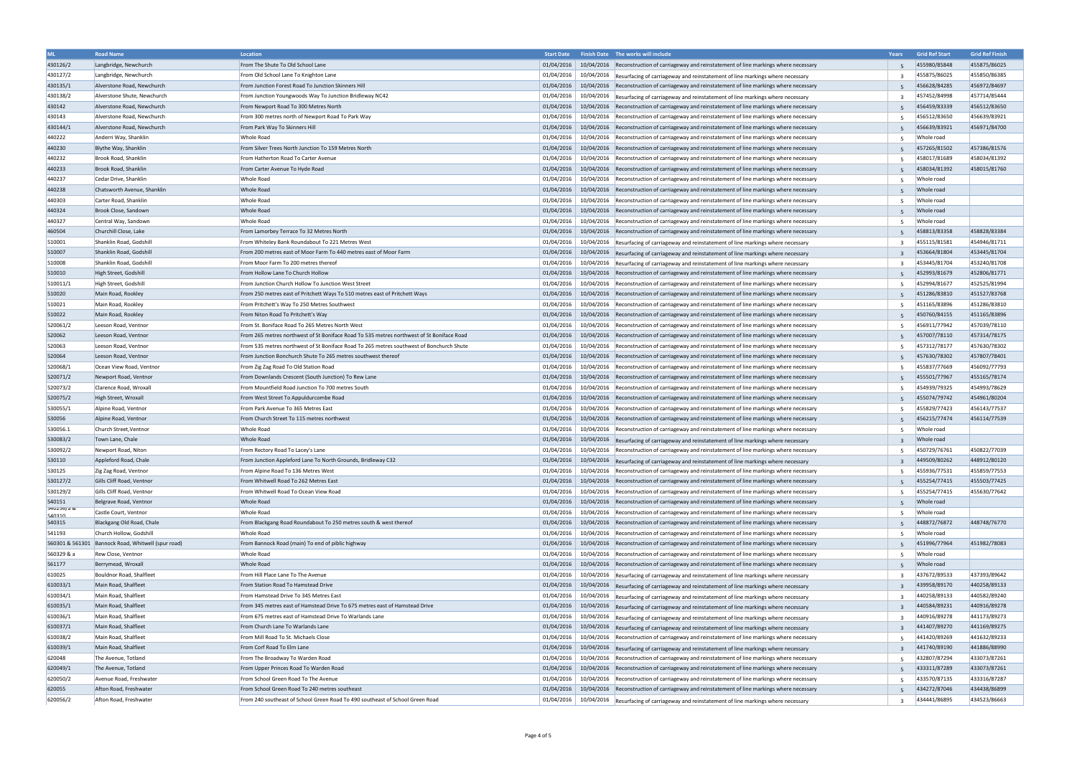| <b>ML</b>        | <b>Road Name</b>                                   | <b>Location</b>                                                                           | <b>Start Date</b>        | Finish Date The works will include                                                                                                                                                       | Years                   | <b>Grid Ref Start</b> | <b>Grid Ref Finish</b> |
|------------------|----------------------------------------------------|-------------------------------------------------------------------------------------------|--------------------------|------------------------------------------------------------------------------------------------------------------------------------------------------------------------------------------|-------------------------|-----------------------|------------------------|
| 430126/2         | Langbridge, Newchurch                              | From The Shute To Old School Lane                                                         | 01/04/2016               | 10/04/2016 Reconstruction of carriageway and reinstatement of line markings where necessary                                                                                              |                         | 455980/85848          | 455875/86025           |
| 430127/2         | Langbridge, Newchurch                              | From Old School Lane To Knighton Lane                                                     | 01/04/2016               | 10/04/2016 Resurfacing of carriageway and reinstatement of line markings where necessary                                                                                                 |                         | 455875/86025          | 455850/86385           |
| 430135/1         | Alverstone Road, Newchurch                         | From Junction Forest Road To Junction Skinners Hill                                       |                          | 01/04/2016   10/04/2016   Reconstruction of carriageway and reinstatement of line markings where necessary                                                                               |                         | 456628/84285          | 456972/84697           |
| 430138/2         | Alverstone Shute, Newchurch                        | From Junction Youngwoods Way To Junction Bridleway NC42                                   |                          | $\mid$ 01/04/2016 $\mid$ 10/04/2016 $\mid$ Resurfacing of carriageway and reinstatement of line markings where necessary                                                                 | $\overline{\mathbf{3}}$ | 457452/84998          | 457714/85444           |
| 430142           | Alverstone Road, Newchurch                         | From Newport Road To 300 Metres North                                                     | 01/04/2016               | 10/04/2016 Reconstruction of carriageway and reinstatement of line markings where necessary                                                                                              | 5                       | 456459/83339          | 456512/83650           |
| 430143           | Alverstone Road, Newchurch                         | From 300 metres north of Newport Road To Park Way                                         |                          | 01/04/2016   10/04/2016   Reconstruction of carriageway and reinstatement of line markings where necessary                                                                               | 5                       | 456512/83650          | 456639/83921           |
| 430144/1         | Alverstone Road, Newchurch                         | From Park Way To Skinners Hill                                                            | 01/04/2016               | 10/04/2016 Reconstruction of carriageway and reinstatement of line markings where necessary                                                                                              |                         | 456639/83921          | 456971/84700           |
| 440222           | Anderri Way, Shanklin                              | Whole Road                                                                                | 01/04/2016               | 10/04/2016 Reconstruction of carriageway and reinstatement of line markings where necessary                                                                                              | .5                      | Whole road            |                        |
| 440230           | Blythe Way, Shanklin                               | From Silver Trees North Junction To 159 Metres North                                      | 01/04/2016               | 10/04/2016 Reconstruction of carriageway and reinstatement of line markings where necessary                                                                                              |                         | 457265/81502          | 457386/81576           |
| 440232           | Brook Road, Shanklin                               | From Hatherton Road To Carter Avenue                                                      | 01/04/2016               | 10/04/2016   Reconstruction of carriageway and reinstatement of line markings where necessary                                                                                            | .5                      | 458017/81689          | 458034/81392           |
| 440233           | Brook Road, Shanklin                               | From Carter Avenue To Hyde Road                                                           | 01/04/2016               |                                                                                                                                                                                          |                         | 458034/81392          | 458015/81760           |
|                  | Cedar Drive, Shanklin                              | Whole Road                                                                                | 01/04/2016               | 10/04/2016 Reconstruction of carriageway and reinstatement of line markings where necessary                                                                                              |                         | Whole road            |                        |
| 440237           |                                                    |                                                                                           |                          | 10/04/2016 Reconstruction of carriageway and reinstatement of line markings where necessary                                                                                              | -5                      |                       |                        |
| 440238           | Chatsworth Avenue, Shanklin                        | Whole Road                                                                                | 01/04/2016<br>01/04/2016 | 10/04/2016 Reconstruction of carriageway and reinstatement of line markings where necessary                                                                                              | 5                       | Whole road            |                        |
| 440303           | Carter Road, Shanklin                              | <b>Whole Road</b>                                                                         |                          | 10/04/2016 Reconstruction of carriageway and reinstatement of line markings where necessary                                                                                              |                         | Whole road            |                        |
| 440324           | Brook Close, Sandown                               | Whole Road                                                                                |                          | 01/04/2016   10/04/2016   Reconstruction of carriageway and reinstatement of line markings where necessary                                                                               |                         | Whole road            |                        |
| 440327           | Central Way, Sandown                               | Whole Road                                                                                | 01/04/2016               | 10/04/2016   Reconstruction of carriageway and reinstatement of line markings where necessary                                                                                            | -5                      | Whole road            |                        |
| 460504           | Churchill Close, Lake                              | From Lamorbey Terrace To 32 Metres North                                                  | 01/04/2016               | 10/04/2016 Reconstruction of carriageway and reinstatement of line markings where necessary                                                                                              |                         | 458813/83358          | 458828/83384           |
| 510001           | Shanklin Road, Godshill                            | From Whiteley Bank Roundabout To 221 Metres West                                          | 01/04/2016               | 10/04/2016 Resurfacing of carriageway and reinstatement of line markings where necessary                                                                                                 | $\mathbf{R}$            | 455115/81581          | 454946/81711           |
| 510007           | Shanklin Road, Godshill                            | From 200 metres east of Moor Farm To 440 metres east of Moor Farm                         | 01/04/2016               | 10/04/2016 Resurfacing of carriageway and reinstatement of line markings where necessary                                                                                                 | $\overline{z}$          | 453664/81804          | 453445/81704           |
| 510008           | Shanklin Road, Godshill                            | From Moor Farm To 200 metres thereof                                                      | 01/04/2016               | 10/04/2016 Resurfacing of carriageway and reinstatement of line markings where necessary                                                                                                 | $\overline{3}$          | 453445/81704          | 453240/81708           |
| 510010           | High Street, Godshill                              | From Hollow Lane To Church Hollow                                                         | 01/04/2016               | 10/04/2016 Reconstruction of carriageway and reinstatement of line markings where necessary                                                                                              |                         | 452993/81679          | 452806/81771           |
| 510011/1         | High Street, Godshill                              | From Junction Church Hollow To Junction West Street                                       | 01/04/2016               | 10/04/2016   Reconstruction of carriageway and reinstatement of line markings where necessary                                                                                            | 5                       | 452994/81677          | 452525/81994           |
| 510020           | Main Road, Rookley                                 | From 250 metres east of Pritchett Ways To 510 metres east of Pritchett Ways               | 01/04/2016               | 10/04/2016 Reconstruction of carriageway and reinstatement of line markings where necessary                                                                                              |                         | 451286/83810          | 451527/83768           |
| 510021           | Main Road, Rookley                                 | From Pritchett's Way To 250 Metres Southwest                                              | 01/04/2016               | 10/04/2016 Reconstruction of carriageway and reinstatement of line markings where necessary                                                                                              | 5                       | 451165/83896          | 451286/83810           |
| 510022           | Main Road, Rookley                                 | From Niton Road To Pritchett's Way                                                        | 01/04/2016               | 10/04/2016 Reconstruction of carriageway and reinstatement of line markings where necessary                                                                                              | 5                       | 450760/84155          | 451165/83896           |
| 520061/2         | Leeson Road, Ventnor                               | From St. Boniface Road To 265 Metres North West                                           | 01/04/2016               | 10/04/2016 Reconstruction of carriageway and reinstatement of line markings where necessary                                                                                              | .5                      | 456911/77942          | 457039/78110           |
| 520062           | Leeson Road, Ventnor                               | From 265 metres northwest of St Boniface Road To 535 metres northwest of St Boniface Road | 01/04/2016               | 10/04/2016 Reconstruction of carriageway and reinstatement of line markings where necessary                                                                                              |                         | 457007/78110          | 457314/78175           |
| 520063           | Leeson Road, Ventnor                               | From 535 metres northwest of St Boniface Road To 265 metres southwest of Bonchurch Shute  |                          | 01/04/2016   10/04/2016   Reconstruction of carriageway and reinstatement of line markings where necessary                                                                               | 5                       | 457312/78177          | 457630/78302           |
| 520064           | Leeson Road, Ventnor                               | From Junction Bonchurch Shute To 265 metres southwest thereof                             | 01/04/2016               | 10/04/2016 Reconstruction of carriageway and reinstatement of line markings where necessary                                                                                              |                         | 457630/78302          | 457807/78401           |
| 520068/1         | Ocean View Road, Ventnor                           | From Zig Zag Road To Old Station Road                                                     | 01/04/2016               | 10/04/2016 Reconstruction of carriageway and reinstatement of line markings where necessary                                                                                              | -5                      | 455837/77669          | 456092/77793           |
| 520071/2         | Newport Road, Ventnor                              | From Downlands Crescent (South Junction) To Rew Lane                                      |                          | 01/04/2016   10/04/2016   Reconstruction of carriageway and reinstatement of line markings where necessary                                                                               |                         | 455501/77967          | 455165/78174           |
| 520073/2         | Clarence Road, Wroxall                             | From Mountfield Road Junction To 700 metres South                                         | 01/04/2016               | 10/04/2016   Reconstruction of carriageway and reinstatement of line markings where necessary                                                                                            | 5                       | 454939/79325          | 454993/78629           |
| 520075/2         | High Street, Wroxall                               | From West Street To Appuldurcombe Road                                                    | 01/04/2016               | 10/04/2016 Reconstruction of carriageway and reinstatement of line markings where necessary                                                                                              |                         | 455074/79742          | 454961/80204           |
| 530055/1         | Alpine Road, Ventnor                               | From Park Avenue To 365 Metres East                                                       | 01/04/2016               | 10/04/2016 Reconstruction of carriageway and reinstatement of line markings where necessary                                                                                              |                         | 455829/77423          | 456143/77537           |
| 530056           | Alpine Road, Ventnor                               | From Church Street To 115 metres northwest                                                | 01/04/2016               | 10/04/2016 Reconstruction of carriageway and reinstatement of line markings where necessary                                                                                              |                         | 456215/77474          | 456114/77539           |
| 530056.1         | Church Street, Ventnor                             | Whole Road                                                                                | 01/04/2016               | 10/04/2016 Reconstruction of carriageway and reinstatement of line markings where necessary                                                                                              | -5                      | Whole road            |                        |
| 530083/2         | Town Lane, Chale                                   | <b>Whole Road</b>                                                                         |                          | 01/04/2016 10/04/2016 Resurfacing of carriageway and reinstatement of line markings where necessary                                                                                      |                         | Whole road            |                        |
| 530092/2         | Newport Road, Niton                                | From Rectory Road To Lacey's Lane                                                         | 01/04/2016               | 10/04/2016  Reconstruction of carriageway and reinstatement of line markings where necessary                                                                                             |                         | 450729/76761          | 450822/77039           |
| 530110           | Appleford Road, Chale                              | From Junction Appleford Lane To North Grounds, Bridleway C32                              |                          | 01/04/2016 10/04/2016 Resurfacing of carriageway and reinstatement of line markings where necessary                                                                                      |                         | 449509/80262          | 448912/80120           |
| 530125           | Zig Zag Road, Ventnor                              | From Alpine Road To 136 Metres West                                                       | 01/04/2016               | 10/04/2016 Reconstruction of carriageway and reinstatement of line markings where necessary                                                                                              |                         | 455936/77531          | 455859/77553           |
| 530127/2         | Gills Cliff Road, Ventnor                          | From Whitwell Road To 262 Metres East                                                     |                          | 01/04/2016 10/04/2016 Reconstruction of carriageway and reinstatement of line markings where necessary                                                                                   |                         | 455254/77415          | 455503/77425           |
| 530129/2         | Gills Cliff Road, Ventnor                          | From Whitwell Road To Ocean View Road                                                     | 01/04/2016               | 10/04/2016 Reconstruction of carriageway and reinstatement of line markings where necessary                                                                                              | -5                      | 455254/77415          | 455630/77642           |
| 540151           | Belgrave Road, Ventnor                             | Whole Road                                                                                |                          | 01/04/2016 10/04/2016 Reconstruction of carriageway and reinstatement of line markings where necessary                                                                                   |                         | Whole road            |                        |
| 540256/a &       | Castle Court, Ventnor                              | Whole Road                                                                                |                          | 01/04/2016 10/04/2016 Reconstruction of carriageway and reinstatement of line markings where necessary                                                                                   | 5                       | Whole road            |                        |
| 540310<br>540315 | Blackgang Old Road, Chale                          | From Blackgang Road Roundabout To 250 metres south & west thereof                         | 01/04/2016               | 10/04/2016 Reconstruction of carriageway and reinstatement of line markings where necessary                                                                                              | 5                       | 448872/76872          | 448748/76770           |
| 541193           | Church Hollow, Godshill                            | Whole Road                                                                                | 01/04/2016               | 10/04/2016 Reconstruction of carriageway and reinstatement of line markings where necessary                                                                                              | 5                       | Whole road            |                        |
|                  | 560301 & 561301 Bannock Road, Whitwell (spur road) | From Bannock Road (main) To end of piblic highway                                         | 01/04/2016               | 10/04/2016 Reconstruction of carriageway and reinstatement of line markings where necessary                                                                                              |                         | 451996/77964          | 451982/78083           |
| 560329 & a       | Rew Close, Ventnor                                 | Whole Road                                                                                | 01/04/2016               | 10/04/2016 Reconstruction of carriageway and reinstatement of line markings where necessary                                                                                              | 5                       | Whole road            |                        |
| 561177           | Berrymead, Wroxall                                 | Whole Road                                                                                | 01/04/2016               | 10/04/2016 Reconstruction of carriageway and reinstatement of line markings where necessary                                                                                              | 5                       | Whole road            |                        |
| 610025           | Bouldnor Road, Shalfleet                           | From Hill Place Lane To The Avenue                                                        | 01/04/2016               | 10/04/2016 Resurfacing of carriageway and reinstatement of line markings where necessary                                                                                                 | -3                      | 437672/89533          | 437393/89642           |
| 610033/1         | Main Road, Shalfleet                               | From Station Road To Hamstead Drive                                                       | 01/04/2016               | 10/04/2016 Resurfacing of carriageway and reinstatement of line markings where necessary                                                                                                 |                         | 439958/89170          | 440258/89133           |
| 610034/1         | Main Road, Shalfleet                               | From Hamstead Drive To 345 Metres East                                                    | 01/04/2016               | 10/04/2016 Resurfacing of carriageway and reinstatement of line markings where necessary                                                                                                 |                         | 440258/89133          | 440582/89240           |
| 610035/1         | Main Road, Shalfleet                               | From 345 metres east of Hamstead Drive To 675 metres east of Hamstead Drive               | 01/04/2016               | 10/04/2016 Resurfacing of carriageway and reinstatement of line markings where necessary                                                                                                 | $\overline{3}$          | 440584/89231          | 440916/89278           |
| 610036/1         | Main Road, Shalfleet                               | From 675 metres east of Hamstead Drive To Warlands Lane                                   | 01/04/2016               | 10/04/2016 Resurfacing of carriageway and reinstatement of line markings where necessary                                                                                                 | $\overline{3}$          | 440916/89278          | 441173/89273           |
| 610037/1         | Main Road, Shalfleet                               | From Church Lane To Warlands Lane                                                         | 01/04/2016               |                                                                                                                                                                                          |                         | 441407/89270          | 441169/89275           |
| 610038/2         | Main Road, Shalfleet                               | From Mill Road To St. Michaels Close                                                      | 01/04/2016               | 10/04/2016 Resurfacing of carriageway and reinstatement of line markings where necessary<br>10/04/2016 Reconstruction of carriageway and reinstatement of line markings where necessary  | -5                      | 441420/89269          | 441632/89233           |
| 610039/1         | Main Road, Shalfleet                               | From Corf Road To Elm Lane                                                                | 01/04/2016               |                                                                                                                                                                                          | $\mathbf{R}$            | 441740/89190          | 441886/88990           |
| 620048           | The Avenue, Totland                                | From The Broadway To Warden Road                                                          | 01/04/2016               | 10/04/2016 Resurfacing of carriageway and reinstatement of line markings where necessary<br>10/04/2016  Reconstruction of carriageway and reinstatement of line markings where necessary |                         | 432807/87294          | 433073/87261           |
|                  |                                                    |                                                                                           |                          |                                                                                                                                                                                          | .5                      |                       | 433073/87261           |
| 620049/1         | The Avenue, Totland                                | From Upper Princes Road To Warden Road                                                    | 01/04/2016               | 10/04/2016 Reconstruction of carriageway and reinstatement of line markings where necessary                                                                                              |                         | 433311/87289          | 433316/87287           |
| 620050/2         | Avenue Road, Freshwater                            | From School Green Road To The Avenue                                                      | 01/04/2016               | 10/04/2016 Reconstruction of carriageway and reinstatement of line markings where necessary                                                                                              | 5                       | 433570/87135          |                        |
| 620055           | Afton Road, Freshwater                             | From School Green Road To 240 metres southeast                                            | 01/04/2016               | 10/04/2016 Reconstruction of carriageway and reinstatement of line markings where necessary                                                                                              |                         | 434272/87046          | 434438/86899           |
| 620056/2         | Afton Road, Freshwater                             | From 240 southeast of School Green Road To 490 southeast of School Green Road             |                          | $\mid$ 01/04/2016 $\mid$ 10/04/2016 Resurfacing of carriageway and reinstatement of line markings where necessary                                                                        | $\overline{3}$          | 434441/86895          | 434523/86663           |